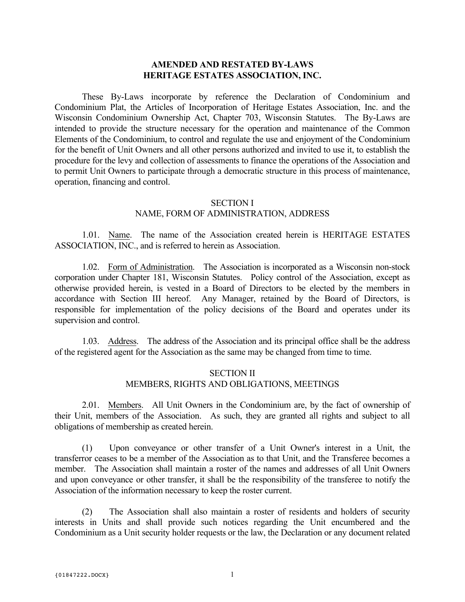#### **AMENDED AND RESTATED BY-LAWS HERITAGE ESTATES ASSOCIATION, INC.**

These By-Laws incorporate by reference the Declaration of Condominium and Condominium Plat, the Articles of Incorporation of Heritage Estates Association, Inc. and the Wisconsin Condominium Ownership Act, Chapter 703, Wisconsin Statutes. The By-Laws are intended to provide the structure necessary for the operation and maintenance of the Common Elements of the Condominium, to control and regulate the use and enjoyment of the Condominium for the benefit of Unit Owners and all other persons authorized and invited to use it, to establish the procedure for the levy and collection of assessments to finance the operations of the Association and to permit Unit Owners to participate through a democratic structure in this process of maintenance, operation, financing and control.

#### SECTION I

#### NAME, FORM OF ADMINISTRATION, ADDRESS

1.01. Name. The name of the Association created herein is HERITAGE ESTATES ASSOCIATION, INC., and is referred to herein as Association.

1.02. Form of Administration. The Association is incorporated as a Wisconsin non-stock corporation under Chapter 181, Wisconsin Statutes. Policy control of the Association, except as otherwise provided herein, is vested in a Board of Directors to be elected by the members in accordance with Section III hereof. Any Manager, retained by the Board of Directors, is responsible for implementation of the policy decisions of the Board and operates under its supervision and control.

1.03. Address. The address of the Association and its principal office shall be the address of the registered agent for the Association as the same may be changed from time to time.

### SECTION II MEMBERS, RIGHTS AND OBLIGATIONS, MEETINGS

2.01. Members. All Unit Owners in the Condominium are, by the fact of ownership of their Unit, members of the Association. As such, they are granted all rights and subject to all obligations of membership as created herein.

(1) Upon conveyance or other transfer of a Unit Owner's interest in a Unit, the transferror ceases to be a member of the Association as to that Unit, and the Transferee becomes a member. The Association shall maintain a roster of the names and addresses of all Unit Owners and upon conveyance or other transfer, it shall be the responsibility of the transferee to notify the Association of the information necessary to keep the roster current.

(2) The Association shall also maintain a roster of residents and holders of security interests in Units and shall provide such notices regarding the Unit encumbered and the Condominium as a Unit security holder requests or the law, the Declaration or any document related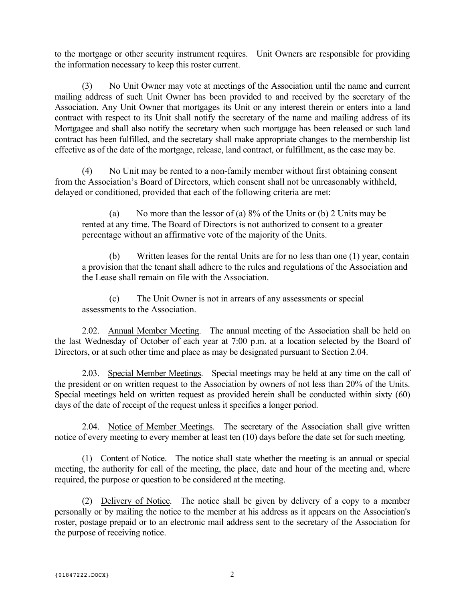to the mortgage or other security instrument requires. Unit Owners are responsible for providing the information necessary to keep this roster current.

(3) No Unit Owner may vote at meetings of the Association until the name and current mailing address of such Unit Owner has been provided to and received by the secretary of the Association. Any Unit Owner that mortgages its Unit or any interest therein or enters into a land contract with respect to its Unit shall notify the secretary of the name and mailing address of its Mortgagee and shall also notify the secretary when such mortgage has been released or such land contract has been fulfilled, and the secretary shall make appropriate changes to the membership list effective as of the date of the mortgage, release, land contract, or fulfillment, as the case may be.

(4) No Unit may be rented to a non-family member without first obtaining consent from the Association's Board of Directors, which consent shall not be unreasonably withheld, delayed or conditioned, provided that each of the following criteria are met:

(a) No more than the lessor of (a)  $8\%$  of the Units or (b) 2 Units may be rented at any time. The Board of Directors is not authorized to consent to a greater percentage without an affirmative vote of the majority of the Units.

(b) Written leases for the rental Units are for no less than one (1) year, contain a provision that the tenant shall adhere to the rules and regulations of the Association and the Lease shall remain on file with the Association.

(c) The Unit Owner is not in arrears of any assessments or special assessments to the Association.

2.02. Annual Member Meeting. The annual meeting of the Association shall be held on the last Wednesday of October of each year at 7:00 p.m. at a location selected by the Board of Directors, or at such other time and place as may be designated pursuant to Section 2.04.

2.03. Special Member Meetings. Special meetings may be held at any time on the call of the president or on written request to the Association by owners of not less than 20% of the Units. Special meetings held on written request as provided herein shall be conducted within sixty (60) days of the date of receipt of the request unless it specifies a longer period.

2.04. Notice of Member Meetings. The secretary of the Association shall give written notice of every meeting to every member at least ten (10) days before the date set for such meeting.

(1) Content of Notice. The notice shall state whether the meeting is an annual or special meeting, the authority for call of the meeting, the place, date and hour of the meeting and, where required, the purpose or question to be considered at the meeting.

(2) Delivery of Notice. The notice shall be given by delivery of a copy to a member personally or by mailing the notice to the member at his address as it appears on the Association's roster, postage prepaid or to an electronic mail address sent to the secretary of the Association for the purpose of receiving notice.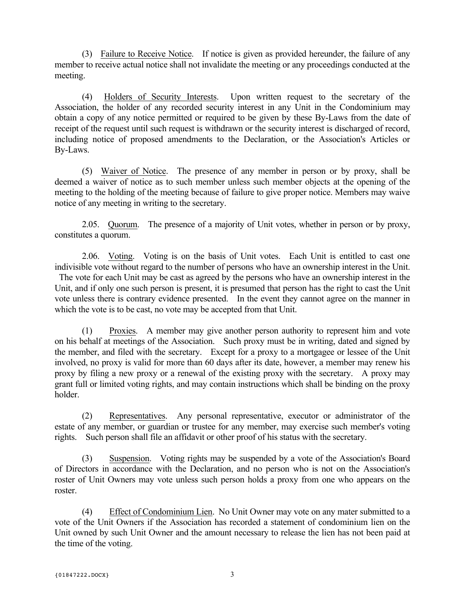(3) Failure to Receive Notice. If notice is given as provided hereunder, the failure of any member to receive actual notice shall not invalidate the meeting or any proceedings conducted at the meeting.

(4) Holders of Security Interests. Upon written request to the secretary of the Association, the holder of any recorded security interest in any Unit in the Condominium may obtain a copy of any notice permitted or required to be given by these By-Laws from the date of receipt of the request until such request is withdrawn or the security interest is discharged of record, including notice of proposed amendments to the Declaration, or the Association's Articles or By-Laws.

(5) Waiver of Notice. The presence of any member in person or by proxy, shall be deemed a waiver of notice as to such member unless such member objects at the opening of the meeting to the holding of the meeting because of failure to give proper notice. Members may waive notice of any meeting in writing to the secretary.

2.05. Quorum. The presence of a majority of Unit votes, whether in person or by proxy, constitutes a quorum.

2.06. Voting. Voting is on the basis of Unit votes. Each Unit is entitled to cast one indivisible vote without regard to the number of persons who have an ownership interest in the Unit. The vote for each Unit may be cast as agreed by the persons who have an ownership interest in the Unit, and if only one such person is present, it is presumed that person has the right to cast the Unit vote unless there is contrary evidence presented. In the event they cannot agree on the manner in which the vote is to be cast, no vote may be accepted from that Unit.

(1) Proxies. A member may give another person authority to represent him and vote on his behalf at meetings of the Association. Such proxy must be in writing, dated and signed by the member, and filed with the secretary. Except for a proxy to a mortgagee or lessee of the Unit involved, no proxy is valid for more than 60 days after its date, however, a member may renew his proxy by filing a new proxy or a renewal of the existing proxy with the secretary. A proxy may grant full or limited voting rights, and may contain instructions which shall be binding on the proxy holder.

(2) Representatives. Any personal representative, executor or administrator of the estate of any member, or guardian or trustee for any member, may exercise such member's voting rights. Such person shall file an affidavit or other proof of his status with the secretary.

(3) Suspension. Voting rights may be suspended by a vote of the Association's Board of Directors in accordance with the Declaration, and no person who is not on the Association's roster of Unit Owners may vote unless such person holds a proxy from one who appears on the roster.

(4) Effect of Condominium Lien. No Unit Owner may vote on any mater submitted to a vote of the Unit Owners if the Association has recorded a statement of condominium lien on the Unit owned by such Unit Owner and the amount necessary to release the lien has not been paid at the time of the voting.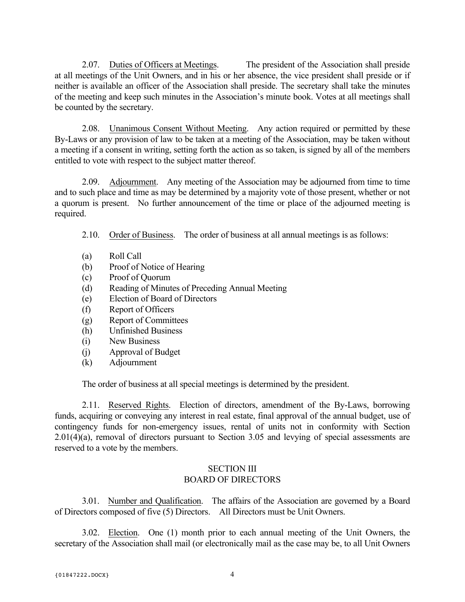2.07. Duties of Officers at Meetings. The president of the Association shall preside at all meetings of the Unit Owners, and in his or her absence, the vice president shall preside or if neither is available an officer of the Association shall preside. The secretary shall take the minutes of the meeting and keep such minutes in the Association's minute book. Votes at all meetings shall be counted by the secretary.

2.08. Unanimous Consent Without Meeting. Any action required or permitted by these By-Laws or any provision of law to be taken at a meeting of the Association, may be taken without a meeting if a consent in writing, setting forth the action as so taken, is signed by all of the members entitled to vote with respect to the subject matter thereof.

2.09. Adjournment. Any meeting of the Association may be adjourned from time to time and to such place and time as may be determined by a majority vote of those present, whether or not a quorum is present. No further announcement of the time or place of the adjourned meeting is required.

- 2.10. Order of Business. The order of business at all annual meetings is as follows:
- (a) Roll Call
- (b) Proof of Notice of Hearing
- (c) Proof of Quorum
- (d) Reading of Minutes of Preceding Annual Meeting
- (e) Election of Board of Directors
- (f) Report of Officers
- (g) Report of Committees
- (h) Unfinished Business
- (i) New Business
- (j) Approval of Budget
- (k) Adjournment

The order of business at all special meetings is determined by the president.

2.11. Reserved Rights. Election of directors, amendment of the By-Laws, borrowing funds, acquiring or conveying any interest in real estate, final approval of the annual budget, use of contingency funds for non-emergency issues, rental of units not in conformity with Section  $2.01(4)(a)$ , removal of directors pursuant to Section 3.05 and levying of special assessments are reserved to a vote by the members.

## SECTION III BOARD OF DIRECTORS

3.01. Number and Qualification. The affairs of the Association are governed by a Board of Directors composed of five (5) Directors. All Directors must be Unit Owners.

3.02. Election. One (1) month prior to each annual meeting of the Unit Owners, the secretary of the Association shall mail (or electronically mail as the case may be, to all Unit Owners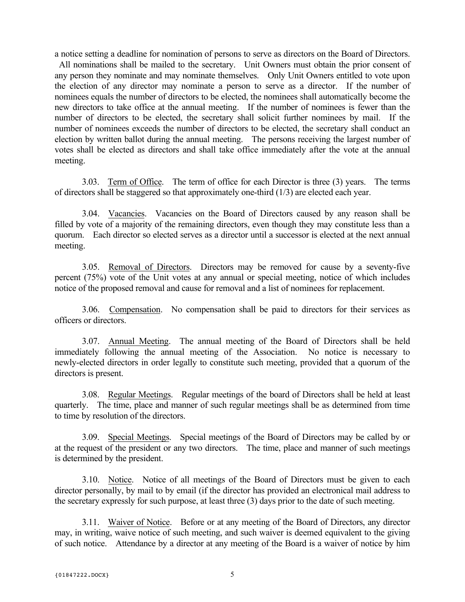a notice setting a deadline for nomination of persons to serve as directors on the Board of Directors.

All nominations shall be mailed to the secretary. Unit Owners must obtain the prior consent of any person they nominate and may nominate themselves. Only Unit Owners entitled to vote upon the election of any director may nominate a person to serve as a director. If the number of nominees equals the number of directors to be elected, the nominees shall automatically become the new directors to take office at the annual meeting. If the number of nominees is fewer than the number of directors to be elected, the secretary shall solicit further nominees by mail. If the number of nominees exceeds the number of directors to be elected, the secretary shall conduct an election by written ballot during the annual meeting. The persons receiving the largest number of votes shall be elected as directors and shall take office immediately after the vote at the annual meeting.

3.03. Term of Office. The term of office for each Director is three (3) years. The terms of directors shall be staggered so that approximately one-third (1/3) are elected each year.

3.04. Vacancies. Vacancies on the Board of Directors caused by any reason shall be filled by vote of a majority of the remaining directors, even though they may constitute less than a quorum. Each director so elected serves as a director until a successor is elected at the next annual meeting.

3.05. Removal of Directors. Directors may be removed for cause by a seventy-five percent (75%) vote of the Unit votes at any annual or special meeting, notice of which includes notice of the proposed removal and cause for removal and a list of nominees for replacement.

3.06. Compensation. No compensation shall be paid to directors for their services as officers or directors.

3.07. Annual Meeting. The annual meeting of the Board of Directors shall be held immediately following the annual meeting of the Association. No notice is necessary to newly-elected directors in order legally to constitute such meeting, provided that a quorum of the directors is present.

3.08. Regular Meetings. Regular meetings of the board of Directors shall be held at least quarterly. The time, place and manner of such regular meetings shall be as determined from time to time by resolution of the directors.

3.09. Special Meetings. Special meetings of the Board of Directors may be called by or at the request of the president or any two directors. The time, place and manner of such meetings is determined by the president.

3.10. Notice. Notice of all meetings of the Board of Directors must be given to each director personally, by mail to by email (if the director has provided an electronical mail address to the secretary expressly for such purpose, at least three (3) days prior to the date of such meeting.

3.11. Waiver of Notice. Before or at any meeting of the Board of Directors, any director may, in writing, waive notice of such meeting, and such waiver is deemed equivalent to the giving of such notice. Attendance by a director at any meeting of the Board is a waiver of notice by him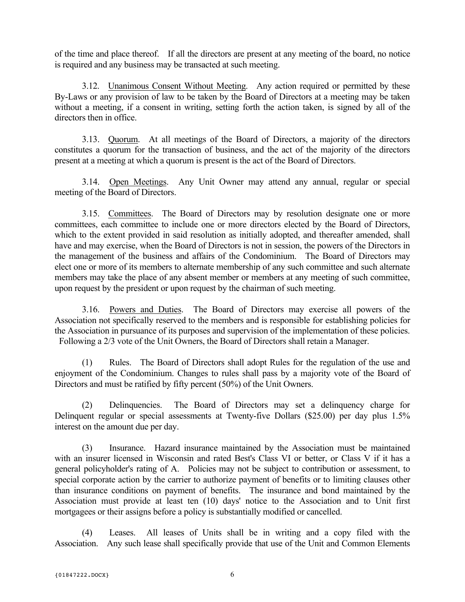of the time and place thereof. If all the directors are present at any meeting of the board, no notice is required and any business may be transacted at such meeting.

3.12. Unanimous Consent Without Meeting. Any action required or permitted by these By-Laws or any provision of law to be taken by the Board of Directors at a meeting may be taken without a meeting, if a consent in writing, setting forth the action taken, is signed by all of the directors then in office.

3.13. Quorum. At all meetings of the Board of Directors, a majority of the directors constitutes a quorum for the transaction of business, and the act of the majority of the directors present at a meeting at which a quorum is present is the act of the Board of Directors.

3.14. Open Meetings. Any Unit Owner may attend any annual, regular or special meeting of the Board of Directors.

3.15. Committees. The Board of Directors may by resolution designate one or more committees, each committee to include one or more directors elected by the Board of Directors, which to the extent provided in said resolution as initially adopted, and thereafter amended, shall have and may exercise, when the Board of Directors is not in session, the powers of the Directors in the management of the business and affairs of the Condominium. The Board of Directors may elect one or more of its members to alternate membership of any such committee and such alternate members may take the place of any absent member or members at any meeting of such committee, upon request by the president or upon request by the chairman of such meeting.

3.16. Powers and Duties. The Board of Directors may exercise all powers of the Association not specifically reserved to the members and is responsible for establishing policies for the Association in pursuance of its purposes and supervision of the implementation of these policies. Following a 2/3 vote of the Unit Owners, the Board of Directors shall retain a Manager.

(1) Rules. The Board of Directors shall adopt Rules for the regulation of the use and enjoyment of the Condominium. Changes to rules shall pass by a majority vote of the Board of Directors and must be ratified by fifty percent (50%) of the Unit Owners.

(2) Delinquencies. The Board of Directors may set a delinquency charge for Delinquent regular or special assessments at Twenty-five Dollars (\$25.00) per day plus 1.5% interest on the amount due per day.

(3) Insurance. Hazard insurance maintained by the Association must be maintained with an insurer licensed in Wisconsin and rated Best's Class VI or better, or Class V if it has a general policyholder's rating of A. Policies may not be subject to contribution or assessment, to special corporate action by the carrier to authorize payment of benefits or to limiting clauses other than insurance conditions on payment of benefits. The insurance and bond maintained by the Association must provide at least ten (10) days' notice to the Association and to Unit first mortgagees or their assigns before a policy is substantially modified or cancelled.

(4) Leases. All leases of Units shall be in writing and a copy filed with the Association. Any such lease shall specifically provide that use of the Unit and Common Elements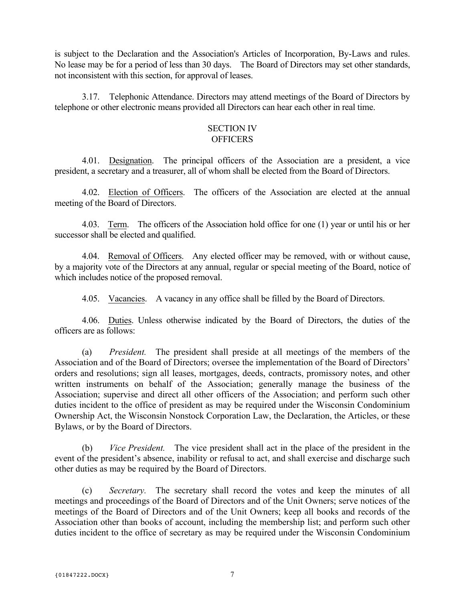is subject to the Declaration and the Association's Articles of Incorporation, By-Laws and rules. No lease may be for a period of less than 30 days. The Board of Directors may set other standards, not inconsistent with this section, for approval of leases.

3.17. Telephonic Attendance. Directors may attend meetings of the Board of Directors by telephone or other electronic means provided all Directors can hear each other in real time.

#### SECTION IV **OFFICERS**

4.01. Designation. The principal officers of the Association are a president, a vice president, a secretary and a treasurer, all of whom shall be elected from the Board of Directors.

4.02. Election of Officers. The officers of the Association are elected at the annual meeting of the Board of Directors.

4.03. Term. The officers of the Association hold office for one (1) year or until his or her successor shall be elected and qualified.

4.04. Removal of Officers. Any elected officer may be removed, with or without cause, by a majority vote of the Directors at any annual, regular or special meeting of the Board, notice of which includes notice of the proposed removal.

4.05. Vacancies. A vacancy in any office shall be filled by the Board of Directors.

4.06. Duties. Unless otherwise indicated by the Board of Directors, the duties of the officers are as follows:

(a) *President.* The president shall preside at all meetings of the members of the Association and of the Board of Directors; oversee the implementation of the Board of Directors' orders and resolutions; sign all leases, mortgages, deeds, contracts, promissory notes, and other written instruments on behalf of the Association; generally manage the business of the Association; supervise and direct all other officers of the Association; and perform such other duties incident to the office of president as may be required under the Wisconsin Condominium Ownership Act, the Wisconsin Nonstock Corporation Law, the Declaration, the Articles, or these Bylaws, or by the Board of Directors.

(b) *Vice President.* The vice president shall act in the place of the president in the event of the president's absence, inability or refusal to act, and shall exercise and discharge such other duties as may be required by the Board of Directors.

(c) *Secretary.* The secretary shall record the votes and keep the minutes of all meetings and proceedings of the Board of Directors and of the Unit Owners; serve notices of the meetings of the Board of Directors and of the Unit Owners; keep all books and records of the Association other than books of account, including the membership list; and perform such other duties incident to the office of secretary as may be required under the Wisconsin Condominium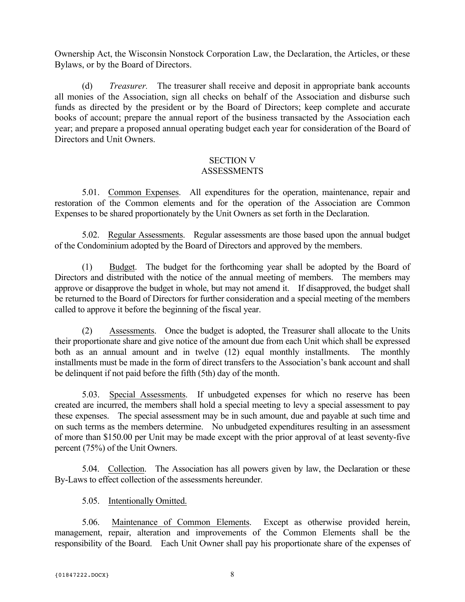Ownership Act, the Wisconsin Nonstock Corporation Law, the Declaration, the Articles, or these Bylaws, or by the Board of Directors.

(d) *Treasurer.* The treasurer shall receive and deposit in appropriate bank accounts all monies of the Association, sign all checks on behalf of the Association and disburse such funds as directed by the president or by the Board of Directors; keep complete and accurate books of account; prepare the annual report of the business transacted by the Association each year; and prepare a proposed annual operating budget each year for consideration of the Board of Directors and Unit Owners.

#### SECTION V ASSESSMENTS

5.01. Common Expenses. All expenditures for the operation, maintenance, repair and restoration of the Common elements and for the operation of the Association are Common Expenses to be shared proportionately by the Unit Owners as set forth in the Declaration.

5.02. Regular Assessments. Regular assessments are those based upon the annual budget of the Condominium adopted by the Board of Directors and approved by the members.

(1) Budget. The budget for the forthcoming year shall be adopted by the Board of Directors and distributed with the notice of the annual meeting of members. The members may approve or disapprove the budget in whole, but may not amend it. If disapproved, the budget shall be returned to the Board of Directors for further consideration and a special meeting of the members called to approve it before the beginning of the fiscal year.

(2) Assessments. Once the budget is adopted, the Treasurer shall allocate to the Units their proportionate share and give notice of the amount due from each Unit which shall be expressed both as an annual amount and in twelve (12) equal monthly installments. The monthly installments must be made in the form of direct transfers to the Association's bank account and shall be delinquent if not paid before the fifth (5th) day of the month.

5.03. Special Assessments. If unbudgeted expenses for which no reserve has been created are incurred, the members shall hold a special meeting to levy a special assessment to pay these expenses. The special assessment may be in such amount, due and payable at such time and on such terms as the members determine. No unbudgeted expenditures resulting in an assessment of more than \$150.00 per Unit may be made except with the prior approval of at least seventy-five percent (75%) of the Unit Owners.

5.04. Collection. The Association has all powers given by law, the Declaration or these By-Laws to effect collection of the assessments hereunder.

# 5.05. Intentionally Omitted.

5.06. Maintenance of Common Elements. Except as otherwise provided herein, management, repair, alteration and improvements of the Common Elements shall be the responsibility of the Board. Each Unit Owner shall pay his proportionate share of the expenses of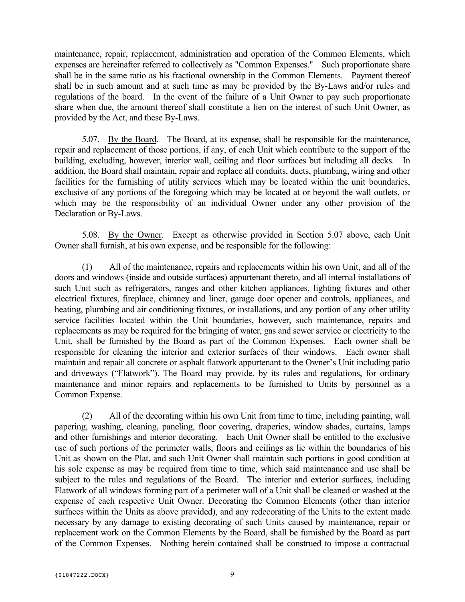maintenance, repair, replacement, administration and operation of the Common Elements, which expenses are hereinafter referred to collectively as "Common Expenses." Such proportionate share shall be in the same ratio as his fractional ownership in the Common Elements. Payment thereof shall be in such amount and at such time as may be provided by the By-Laws and/or rules and regulations of the board. In the event of the failure of a Unit Owner to pay such proportionate share when due, the amount thereof shall constitute a lien on the interest of such Unit Owner, as provided by the Act, and these By-Laws.

5.07. By the Board. The Board, at its expense, shall be responsible for the maintenance, repair and replacement of those portions, if any, of each Unit which contribute to the support of the building, excluding, however, interior wall, ceiling and floor surfaces but including all decks. In addition, the Board shall maintain, repair and replace all conduits, ducts, plumbing, wiring and other facilities for the furnishing of utility services which may be located within the unit boundaries, exclusive of any portions of the foregoing which may be located at or beyond the wall outlets, or which may be the responsibility of an individual Owner under any other provision of the Declaration or By-Laws.

5.08. By the Owner. Except as otherwise provided in Section 5.07 above, each Unit Owner shall furnish, at his own expense, and be responsible for the following:

(1) All of the maintenance, repairs and replacements within his own Unit, and all of the doors and windows (inside and outside surfaces) appurtenant thereto, and all internal installations of such Unit such as refrigerators, ranges and other kitchen appliances, lighting fixtures and other electrical fixtures, fireplace, chimney and liner, garage door opener and controls, appliances, and heating, plumbing and air conditioning fixtures, or installations, and any portion of any other utility service facilities located within the Unit boundaries, however, such maintenance, repairs and replacements as may be required for the bringing of water, gas and sewer service or electricity to the Unit, shall be furnished by the Board as part of the Common Expenses. Each owner shall be responsible for cleaning the interior and exterior surfaces of their windows. Each owner shall maintain and repair all concrete or asphalt flatwork appurtenant to the Owner's Unit including patio and driveways ("Flatwork"). The Board may provide, by its rules and regulations, for ordinary maintenance and minor repairs and replacements to be furnished to Units by personnel as a Common Expense.

(2) All of the decorating within his own Unit from time to time, including painting, wall papering, washing, cleaning, paneling, floor covering, draperies, window shades, curtains, lamps and other furnishings and interior decorating. Each Unit Owner shall be entitled to the exclusive use of such portions of the perimeter walls, floors and ceilings as lie within the boundaries of his Unit as shown on the Plat, and such Unit Owner shall maintain such portions in good condition at his sole expense as may be required from time to time, which said maintenance and use shall be subject to the rules and regulations of the Board. The interior and exterior surfaces, including Flatwork of all windows forming part of a perimeter wall of a Unit shall be cleaned or washed at the expense of each respective Unit Owner. Decorating the Common Elements (other than interior surfaces within the Units as above provided), and any redecorating of the Units to the extent made necessary by any damage to existing decorating of such Units caused by maintenance, repair or replacement work on the Common Elements by the Board, shall be furnished by the Board as part of the Common Expenses. Nothing herein contained shall be construed to impose a contractual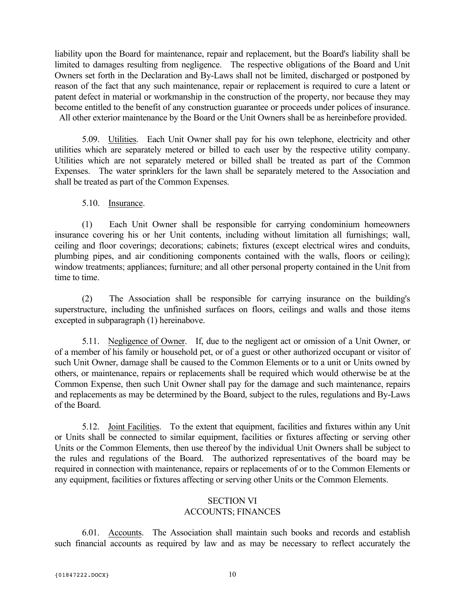liability upon the Board for maintenance, repair and replacement, but the Board's liability shall be limited to damages resulting from negligence. The respective obligations of the Board and Unit Owners set forth in the Declaration and By-Laws shall not be limited, discharged or postponed by reason of the fact that any such maintenance, repair or replacement is required to cure a latent or patent defect in material or workmanship in the construction of the property, nor because they may become entitled to the benefit of any construction guarantee or proceeds under polices of insurance. All other exterior maintenance by the Board or the Unit Owners shall be as hereinbefore provided.

5.09. Utilities. Each Unit Owner shall pay for his own telephone, electricity and other utilities which are separately metered or billed to each user by the respective utility company. Utilities which are not separately metered or billed shall be treated as part of the Common Expenses. The water sprinklers for the lawn shall be separately metered to the Association and shall be treated as part of the Common Expenses.

## 5.10. Insurance.

(1) Each Unit Owner shall be responsible for carrying condominium homeowners insurance covering his or her Unit contents, including without limitation all furnishings; wall, ceiling and floor coverings; decorations; cabinets; fixtures (except electrical wires and conduits, plumbing pipes, and air conditioning components contained with the walls, floors or ceiling); window treatments; appliances; furniture; and all other personal property contained in the Unit from time to time.

(2) The Association shall be responsible for carrying insurance on the building's superstructure, including the unfinished surfaces on floors, ceilings and walls and those items excepted in subparagraph (1) hereinabove.

5.11. Negligence of Owner. If, due to the negligent act or omission of a Unit Owner, or of a member of his family or household pet, or of a guest or other authorized occupant or visitor of such Unit Owner, damage shall be caused to the Common Elements or to a unit or Units owned by others, or maintenance, repairs or replacements shall be required which would otherwise be at the Common Expense, then such Unit Owner shall pay for the damage and such maintenance, repairs and replacements as may be determined by the Board, subject to the rules, regulations and By-Laws of the Board.

5.12. Joint Facilities. To the extent that equipment, facilities and fixtures within any Unit or Units shall be connected to similar equipment, facilities or fixtures affecting or serving other Units or the Common Elements, then use thereof by the individual Unit Owners shall be subject to the rules and regulations of the Board. The authorized representatives of the board may be required in connection with maintenance, repairs or replacements of or to the Common Elements or any equipment, facilities or fixtures affecting or serving other Units or the Common Elements.

## SECTION VI ACCOUNTS; FINANCES

6.01. Accounts. The Association shall maintain such books and records and establish such financial accounts as required by law and as may be necessary to reflect accurately the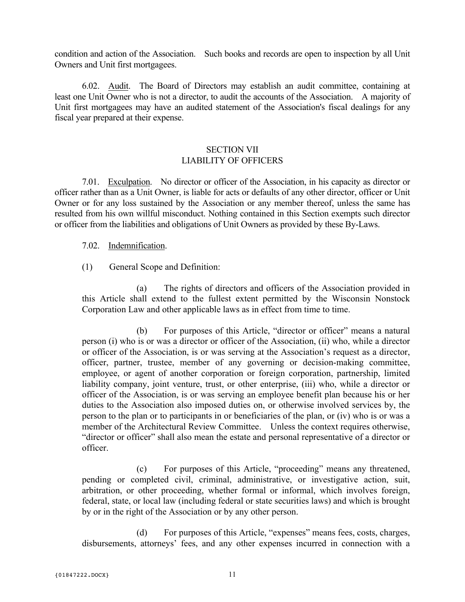condition and action of the Association. Such books and records are open to inspection by all Unit Owners and Unit first mortgagees.

6.02. Audit. The Board of Directors may establish an audit committee, containing at least one Unit Owner who is not a director, to audit the accounts of the Association. A majority of Unit first mortgagees may have an audited statement of the Association's fiscal dealings for any fiscal year prepared at their expense.

# SECTION VII LIABILITY OF OFFICERS

7.01. Exculpation. No director or officer of the Association, in his capacity as director or officer rather than as a Unit Owner, is liable for acts or defaults of any other director, officer or Unit Owner or for any loss sustained by the Association or any member thereof, unless the same has resulted from his own willful misconduct. Nothing contained in this Section exempts such director or officer from the liabilities and obligations of Unit Owners as provided by these By-Laws.

7.02. Indemnification.

(1) General Scope and Definition:

(a) The rights of directors and officers of the Association provided in this Article shall extend to the fullest extent permitted by the Wisconsin Nonstock Corporation Law and other applicable laws as in effect from time to time.

(b) For purposes of this Article, "director or officer" means a natural person (i) who is or was a director or officer of the Association, (ii) who, while a director or officer of the Association, is or was serving at the Association's request as a director, officer, partner, trustee, member of any governing or decision-making committee, employee, or agent of another corporation or foreign corporation, partnership, limited liability company, joint venture, trust, or other enterprise, (iii) who, while a director or officer of the Association, is or was serving an employee benefit plan because his or her duties to the Association also imposed duties on, or otherwise involved services by, the person to the plan or to participants in or beneficiaries of the plan, or (iv) who is or was a member of the Architectural Review Committee. Unless the context requires otherwise, "director or officer" shall also mean the estate and personal representative of a director or officer.

(c) For purposes of this Article, "proceeding" means any threatened, pending or completed civil, criminal, administrative, or investigative action, suit, arbitration, or other proceeding, whether formal or informal, which involves foreign, federal, state, or local law (including federal or state securities laws) and which is brought by or in the right of the Association or by any other person.

(d) For purposes of this Article, "expenses" means fees, costs, charges, disbursements, attorneys' fees, and any other expenses incurred in connection with a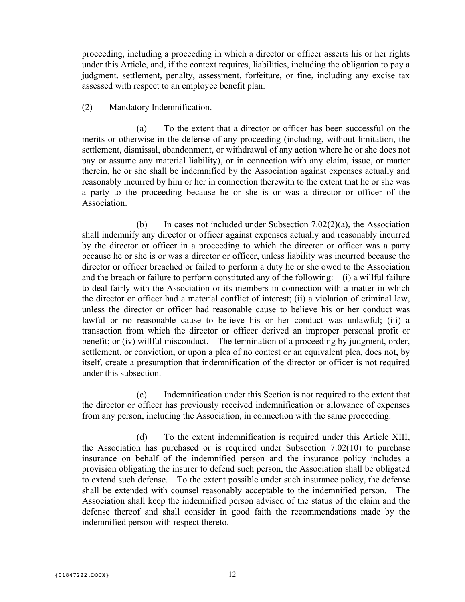proceeding, including a proceeding in which a director or officer asserts his or her rights under this Article, and, if the context requires, liabilities, including the obligation to pay a judgment, settlement, penalty, assessment, forfeiture, or fine, including any excise tax assessed with respect to an employee benefit plan.

### (2) Mandatory Indemnification.

(a) To the extent that a director or officer has been successful on the merits or otherwise in the defense of any proceeding (including, without limitation, the settlement, dismissal, abandonment, or withdrawal of any action where he or she does not pay or assume any material liability), or in connection with any claim, issue, or matter therein, he or she shall be indemnified by the Association against expenses actually and reasonably incurred by him or her in connection therewith to the extent that he or she was a party to the proceeding because he or she is or was a director or officer of the **Association** 

(b) In cases not included under Subsection 7.02(2)(a), the Association shall indemnify any director or officer against expenses actually and reasonably incurred by the director or officer in a proceeding to which the director or officer was a party because he or she is or was a director or officer, unless liability was incurred because the director or officer breached or failed to perform a duty he or she owed to the Association and the breach or failure to perform constituted any of the following: (i) a willful failure to deal fairly with the Association or its members in connection with a matter in which the director or officer had a material conflict of interest; (ii) a violation of criminal law, unless the director or officer had reasonable cause to believe his or her conduct was lawful or no reasonable cause to believe his or her conduct was unlawful; (iii) a transaction from which the director or officer derived an improper personal profit or benefit; or (iv) willful misconduct. The termination of a proceeding by judgment, order, settlement, or conviction, or upon a plea of no contest or an equivalent plea, does not, by itself, create a presumption that indemnification of the director or officer is not required under this subsection.

(c) Indemnification under this Section is not required to the extent that the director or officer has previously received indemnification or allowance of expenses from any person, including the Association, in connection with the same proceeding.

(d) To the extent indemnification is required under this Article XIII, the Association has purchased or is required under Subsection 7.02(10) to purchase insurance on behalf of the indemnified person and the insurance policy includes a provision obligating the insurer to defend such person, the Association shall be obligated to extend such defense. To the extent possible under such insurance policy, the defense shall be extended with counsel reasonably acceptable to the indemnified person. The Association shall keep the indemnified person advised of the status of the claim and the defense thereof and shall consider in good faith the recommendations made by the indemnified person with respect thereto.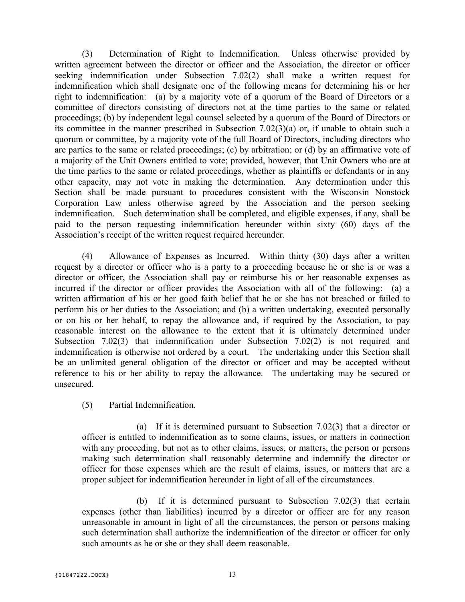(3) Determination of Right to Indemnification. Unless otherwise provided by written agreement between the director or officer and the Association, the director or officer seeking indemnification under Subsection 7.02(2) shall make a written request for indemnification which shall designate one of the following means for determining his or her right to indemnification: (a) by a majority vote of a quorum of the Board of Directors or a committee of directors consisting of directors not at the time parties to the same or related proceedings; (b) by independent legal counsel selected by a quorum of the Board of Directors or its committee in the manner prescribed in Subsection 7.02(3)(a) or, if unable to obtain such a quorum or committee, by a majority vote of the full Board of Directors, including directors who are parties to the same or related proceedings; (c) by arbitration; or (d) by an affirmative vote of a majority of the Unit Owners entitled to vote; provided, however, that Unit Owners who are at the time parties to the same or related proceedings, whether as plaintiffs or defendants or in any other capacity, may not vote in making the determination. Any determination under this Section shall be made pursuant to procedures consistent with the Wisconsin Nonstock Corporation Law unless otherwise agreed by the Association and the person seeking indemnification. Such determination shall be completed, and eligible expenses, if any, shall be paid to the person requesting indemnification hereunder within sixty (60) days of the Association's receipt of the written request required hereunder.

(4) Allowance of Expenses as Incurred. Within thirty (30) days after a written request by a director or officer who is a party to a proceeding because he or she is or was a director or officer, the Association shall pay or reimburse his or her reasonable expenses as incurred if the director or officer provides the Association with all of the following: (a) a written affirmation of his or her good faith belief that he or she has not breached or failed to perform his or her duties to the Association; and (b) a written undertaking, executed personally or on his or her behalf, to repay the allowance and, if required by the Association, to pay reasonable interest on the allowance to the extent that it is ultimately determined under Subsection 7.02(3) that indemnification under Subsection 7.02(2) is not required and indemnification is otherwise not ordered by a court. The undertaking under this Section shall be an unlimited general obligation of the director or officer and may be accepted without reference to his or her ability to repay the allowance. The undertaking may be secured or unsecured.

(5) Partial Indemnification.

(a) If it is determined pursuant to Subsection 7.02(3) that a director or officer is entitled to indemnification as to some claims, issues, or matters in connection with any proceeding, but not as to other claims, issues, or matters, the person or persons making such determination shall reasonably determine and indemnify the director or officer for those expenses which are the result of claims, issues, or matters that are a proper subject for indemnification hereunder in light of all of the circumstances.

(b) If it is determined pursuant to Subsection 7.02(3) that certain expenses (other than liabilities) incurred by a director or officer are for any reason unreasonable in amount in light of all the circumstances, the person or persons making such determination shall authorize the indemnification of the director or officer for only such amounts as he or she or they shall deem reasonable.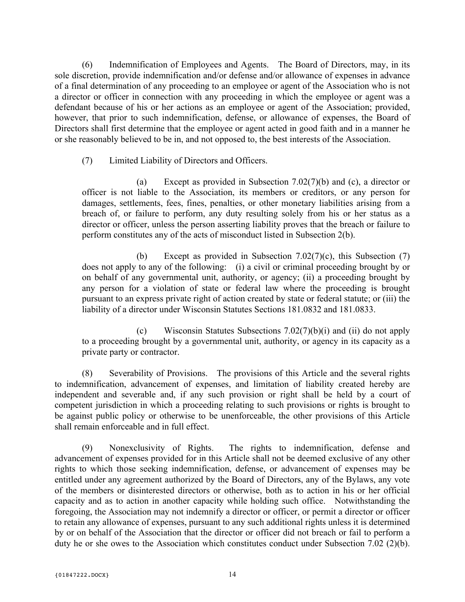(6) Indemnification of Employees and Agents. The Board of Directors, may, in its sole discretion, provide indemnification and/or defense and/or allowance of expenses in advance of a final determination of any proceeding to an employee or agent of the Association who is not a director or officer in connection with any proceeding in which the employee or agent was a defendant because of his or her actions as an employee or agent of the Association; provided, however, that prior to such indemnification, defense, or allowance of expenses, the Board of Directors shall first determine that the employee or agent acted in good faith and in a manner he or she reasonably believed to be in, and not opposed to, the best interests of the Association.

(7) Limited Liability of Directors and Officers.

(a) Except as provided in Subsection 7.02(7)(b) and (c), a director or officer is not liable to the Association, its members or creditors, or any person for damages, settlements, fees, fines, penalties, or other monetary liabilities arising from a breach of, or failure to perform, any duty resulting solely from his or her status as a director or officer, unless the person asserting liability proves that the breach or failure to perform constitutes any of the acts of misconduct listed in Subsection 2(b).

(b) Except as provided in Subsection 7.02(7)(c), this Subsection (7) does not apply to any of the following: (i) a civil or criminal proceeding brought by or on behalf of any governmental unit, authority, or agency; (ii) a proceeding brought by any person for a violation of state or federal law where the proceeding is brought pursuant to an express private right of action created by state or federal statute; or (iii) the liability of a director under Wisconsin Statutes Sections 181.0832 and 181.0833.

(c) Wisconsin Statutes Subsections 7.02(7)(b)(i) and (ii) do not apply to a proceeding brought by a governmental unit, authority, or agency in its capacity as a private party or contractor.

(8) Severability of Provisions. The provisions of this Article and the several rights to indemnification, advancement of expenses, and limitation of liability created hereby are independent and severable and, if any such provision or right shall be held by a court of competent jurisdiction in which a proceeding relating to such provisions or rights is brought to be against public policy or otherwise to be unenforceable, the other provisions of this Article shall remain enforceable and in full effect.

(9) Nonexclusivity of Rights. The rights to indemnification, defense and advancement of expenses provided for in this Article shall not be deemed exclusive of any other rights to which those seeking indemnification, defense, or advancement of expenses may be entitled under any agreement authorized by the Board of Directors, any of the Bylaws, any vote of the members or disinterested directors or otherwise, both as to action in his or her official capacity and as to action in another capacity while holding such office. Notwithstanding the foregoing, the Association may not indemnify a director or officer, or permit a director or officer to retain any allowance of expenses, pursuant to any such additional rights unless it is determined by or on behalf of the Association that the director or officer did not breach or fail to perform a duty he or she owes to the Association which constitutes conduct under Subsection 7.02 (2)(b).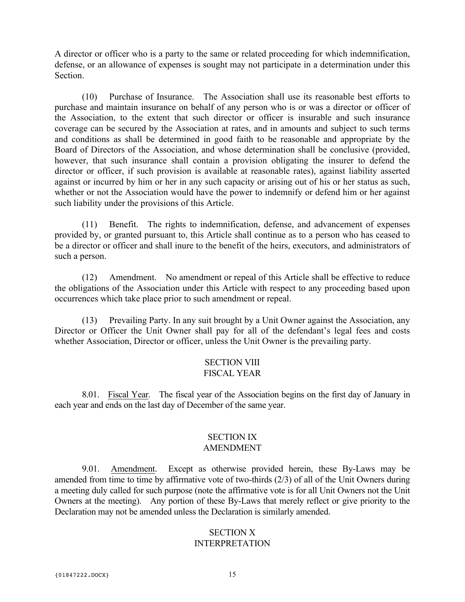A director or officer who is a party to the same or related proceeding for which indemnification, defense, or an allowance of expenses is sought may not participate in a determination under this Section.

(10) Purchase of Insurance. The Association shall use its reasonable best efforts to purchase and maintain insurance on behalf of any person who is or was a director or officer of the Association, to the extent that such director or officer is insurable and such insurance coverage can be secured by the Association at rates, and in amounts and subject to such terms and conditions as shall be determined in good faith to be reasonable and appropriate by the Board of Directors of the Association, and whose determination shall be conclusive (provided, however, that such insurance shall contain a provision obligating the insurer to defend the director or officer, if such provision is available at reasonable rates), against liability asserted against or incurred by him or her in any such capacity or arising out of his or her status as such, whether or not the Association would have the power to indemnify or defend him or her against such liability under the provisions of this Article.

(11) Benefit. The rights to indemnification, defense, and advancement of expenses provided by, or granted pursuant to, this Article shall continue as to a person who has ceased to be a director or officer and shall inure to the benefit of the heirs, executors, and administrators of such a person.

(12) Amendment. No amendment or repeal of this Article shall be effective to reduce the obligations of the Association under this Article with respect to any proceeding based upon occurrences which take place prior to such amendment or repeal.

(13) Prevailing Party. In any suit brought by a Unit Owner against the Association, any Director or Officer the Unit Owner shall pay for all of the defendant's legal fees and costs whether Association, Director or officer, unless the Unit Owner is the prevailing party.

## SECTION VIII FISCAL YEAR

8.01. Fiscal Year. The fiscal year of the Association begins on the first day of January in each year and ends on the last day of December of the same year.

## SECTION IX AMENDMENT

9.01. Amendment. Except as otherwise provided herein, these By-Laws may be amended from time to time by affirmative vote of two-thirds (2/3) of all of the Unit Owners during a meeting duly called for such purpose (note the affirmative vote is for all Unit Owners not the Unit Owners at the meeting). Any portion of these By-Laws that merely reflect or give priority to the Declaration may not be amended unless the Declaration is similarly amended.

## SECTION X INTERPRETATION